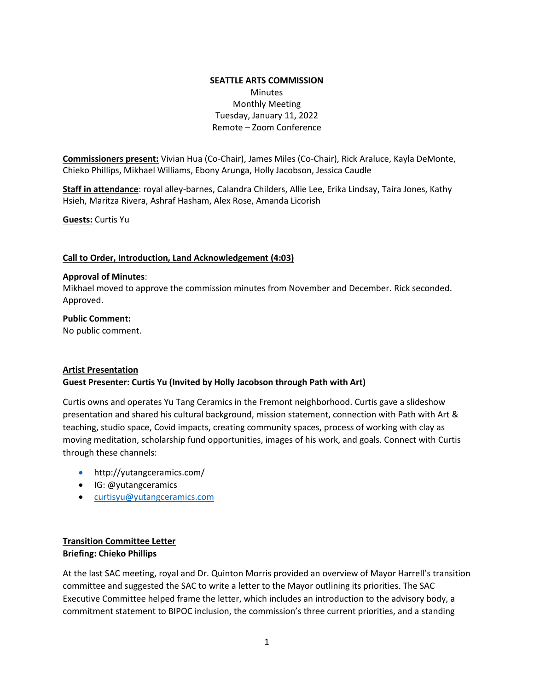### **SEATTLE ARTS COMMISSION Minutes** Monthly Meeting Tuesday, January 11, 2022 Remote – Zoom Conference

**Commissioners present:** Vivian Hua (Co-Chair), James Miles (Co-Chair), Rick Araluce, Kayla DeMonte, Chieko Phillips, Mikhael Williams, Ebony Arunga, Holly Jacobson, Jessica Caudle

**Staff in attendance**: royal alley-barnes, Calandra Childers, Allie Lee, Erika Lindsay, Taira Jones, Kathy Hsieh, Maritza Rivera, Ashraf Hasham, Alex Rose, Amanda Licorish

**Guests:** Curtis Yu

#### **Call to Order, Introduction, Land Acknowledgement (4:03)**

#### **Approval of Minutes**:

Mikhael moved to approve the commission minutes from November and December. Rick seconded. Approved.

#### **Public Comment:**

No public comment.

#### **Artist Presentation**

#### **Guest Presenter: Curtis Yu (Invited by Holly Jacobson through Path with Art)**

Curtis owns and operates Yu Tang Ceramics in the Fremont neighborhood. Curtis gave a slideshow presentation and shared his cultural background, mission statement, connection with Path with Art & teaching, studio space, Covid impacts, creating community spaces, process of working with clay as moving meditation, scholarship fund opportunities, images of his work, and goals. Connect with Curtis through these channels:

- http://yutangceramics.com/
- IG: @yutangceramics
- [curtisyu@yutangceramics.com](mailto:curtisyu@yuttangceramics.com)

## **Transition Committee Letter Briefing: Chieko Phillips**

At the last SAC meeting, royal and Dr. Quinton Morris provided an overview of Mayor Harrell's transition committee and suggested the SAC to write a letter to the Mayor outlining its priorities. The SAC Executive Committee helped frame the letter, which includes an introduction to the advisory body, a commitment statement to BIPOC inclusion, the commission's three current priorities, and a standing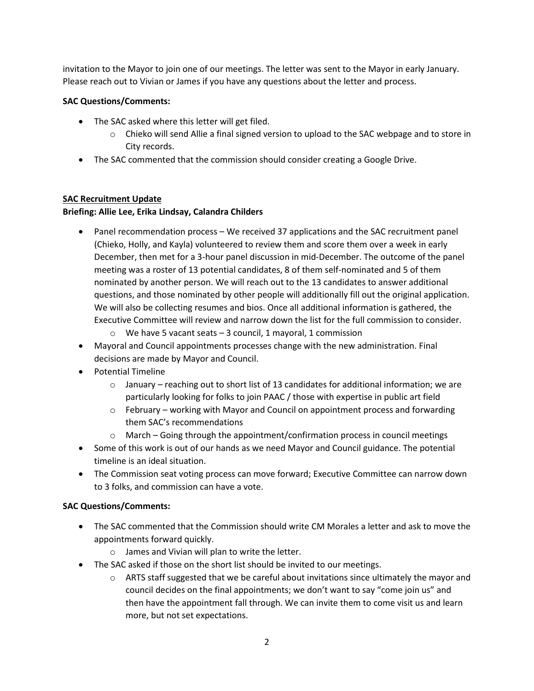invitation to the Mayor to join one of our meetings. The letter was sent to the Mayor in early January. Please reach out to Vivian or James if you have any questions about the letter and process.

# **SAC Questions/Comments:**

- The SAC asked where this letter will get filed.
	- $\circ$  Chieko will send Allie a final signed version to upload to the SAC webpage and to store in City records.
- The SAC commented that the commission should consider creating a Google Drive.

# **SAC Recruitment Update**

# **Briefing: Allie Lee, Erika Lindsay, Calandra Childers**

- Panel recommendation process We received 37 applications and the SAC recruitment panel (Chieko, Holly, and Kayla) volunteered to review them and score them over a week in early December, then met for a 3-hour panel discussion in mid-December. The outcome of the panel meeting was a roster of 13 potential candidates, 8 of them self-nominated and 5 of them nominated by another person. We will reach out to the 13 candidates to answer additional questions, and those nominated by other people will additionally fill out the original application. We will also be collecting resumes and bios. Once all additional information is gathered, the Executive Committee will review and narrow down the list for the full commission to consider.
	- $\circ$  We have 5 vacant seats 3 council, 1 mayoral, 1 commission
- Mayoral and Council appointments processes change with the new administration. Final decisions are made by Mayor and Council.
- Potential Timeline
	- $\circ$  January reaching out to short list of 13 candidates for additional information; we are particularly looking for folks to join PAAC / those with expertise in public art field
	- $\circ$  February working with Mayor and Council on appointment process and forwarding them SAC's recommendations
	- o March Going through the appointment/confirmation process in council meetings
- Some of this work is out of our hands as we need Mayor and Council guidance. The potential timeline is an ideal situation.
- The Commission seat voting process can move forward; Executive Committee can narrow down to 3 folks, and commission can have a vote.

### **SAC Questions/Comments:**

- The SAC commented that the Commission should write CM Morales a letter and ask to move the appointments forward quickly.
	- o James and Vivian will plan to write the letter.
- The SAC asked if those on the short list should be invited to our meetings.
	- $\circ$  ARTS staff suggested that we be careful about invitations since ultimately the mayor and council decides on the final appointments; we don't want to say "come join us" and then have the appointment fall through. We can invite them to come visit us and learn more, but not set expectations.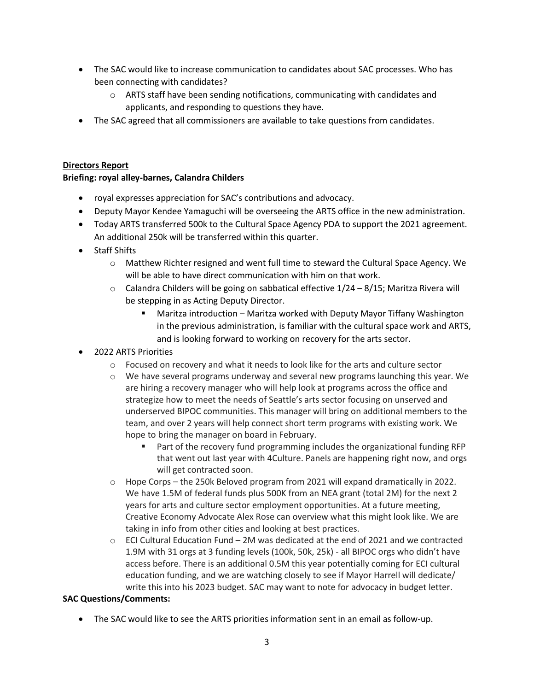- The SAC would like to increase communication to candidates about SAC processes. Who has been connecting with candidates?
	- $\circ$  ARTS staff have been sending notifications, communicating with candidates and applicants, and responding to questions they have.
- The SAC agreed that all commissioners are available to take questions from candidates.

### **Directors Report**

### **Briefing: royal alley-barnes, Calandra Childers**

- royal expresses appreciation for SAC's contributions and advocacy.
- Deputy Mayor Kendee Yamaguchi will be overseeing the ARTS office in the new administration.
- Today ARTS transferred 500k to the Cultural Space Agency PDA to support the 2021 agreement. An additional 250k will be transferred within this quarter.
- Staff Shifts
	- o Matthew Richter resigned and went full time to steward the Cultural Space Agency. We will be able to have direct communication with him on that work.
	- $\circ$  Calandra Childers will be going on sabbatical effective  $1/24 8/15$ ; Maritza Rivera will be stepping in as Acting Deputy Director.
		- Maritza introduction Maritza worked with Deputy Mayor Tiffany Washington in the previous administration, is familiar with the cultural space work and ARTS, and is looking forward to working on recovery for the arts sector.
- 2022 ARTS Priorities
	- $\circ$  Focused on recovery and what it needs to look like for the arts and culture sector
	- $\circ$  We have several programs underway and several new programs launching this year. We are hiring a recovery manager who will help look at programs across the office and strategize how to meet the needs of Seattle's arts sector focusing on unserved and underserved BIPOC communities. This manager will bring on additional members to the team, and over 2 years will help connect short term programs with existing work. We hope to bring the manager on board in February.
		- Part of the recovery fund programming includes the organizational funding RFP that went out last year with 4Culture. Panels are happening right now, and orgs will get contracted soon.
	- o Hope Corps the 250k Beloved program from 2021 will expand dramatically in 2022. We have 1.5M of federal funds plus 500K from an NEA grant (total 2M) for the next 2 years for arts and culture sector employment opportunities. At a future meeting, Creative Economy Advocate Alex Rose can overview what this might look like. We are taking in info from other cities and looking at best practices.
	- $\circ$  ECI Cultural Education Fund 2M was dedicated at the end of 2021 and we contracted 1.9M with 31 orgs at 3 funding levels (100k, 50k, 25k) - all BIPOC orgs who didn't have access before. There is an additional 0.5M this year potentially coming for ECI cultural education funding, and we are watching closely to see if Mayor Harrell will dedicate/ write this into his 2023 budget. SAC may want to note for advocacy in budget letter.

#### **SAC Questions/Comments:**

• The SAC would like to see the ARTS priorities information sent in an email as follow-up.